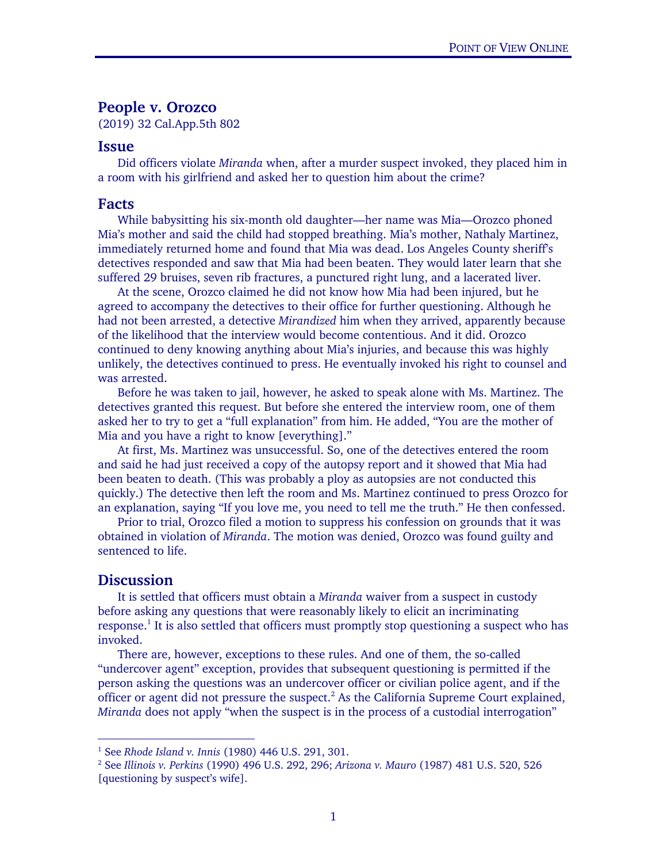## People v. Orozco

(2019) 32 Cal.App.5th 802

## Issue

Did officers violate *Miranda* when, after a murder suspect invoked, they placed him in a room with his girlfriend and asked her to question him about the crime?

## Facts

While babysitting his six-month old daughter—her name was Mia—Orozco phoned Mia's mother and said the child had stopped breathing. Mia's mother, Nathaly Martinez, immediately returned home and found that Mia was dead. Los Angeles County sheriff's detectives responded and saw that Mia had been beaten. They would later learn that she suffered 29 bruises, seven rib fractures, a punctured right lung, and a lacerated liver.

At the scene, Orozco claimed he did not know how Mia had been injured, but he agreed to accompany the detectives to their office for further questioning. Although he had not been arrested, a detective *Mirandized* him when they arrived, apparently because of the likelihood that the interview would become contentious. And it did. Orozco continued to deny knowing anything about Mia's injuries, and because this was highly unlikely, the detectives continued to press. He eventually invoked his right to counsel and was arrested.

Before he was taken to jail, however, he asked to speak alone with Ms. Martinez. The detectives granted this request. But before she entered the interview room, one of them asked her to try to get a "full explanation" from him. He added, "You are the mother of Mia and you have a right to know [everything]."

At first, Ms. Martinez was unsuccessful. So, one of the detectives entered the room and said he had just received a copy of the autopsy report and it showed that Mia had been beaten to death. (This was probably a ploy as autopsies are not conducted this quickly.) The detective then left the room and Ms. Martinez continued to press Orozco for an explanation, saying "If you love me, you need to tell me the truth." He then confessed.

Prior to trial, Orozco filed a motion to suppress his confession on grounds that it was obtained in violation of *Miranda*. The motion was denied, Orozco was found guilty and sentenced to life.

## **Discussion**

 $\overline{a}$ 

It is settled that officers must obtain a *Miranda* waiver from a suspect in custody before asking any questions that were reasonably likely to elicit an incriminating response.<sup>1</sup> It is also settled that officers must promptly stop questioning a suspect who has invoked.

There are, however, exceptions to these rules. And one of them, the so-called "undercover agent" exception, provides that subsequent questioning is permitted if the person asking the questions was an undercover officer or civilian police agent, and if the officer or agent did not pressure the suspect. $<sup>2</sup>$  As the California Supreme Court explained,</sup> *Miranda* does not apply "when the suspect is in the process of a custodial interrogation"

<sup>1</sup> See *Rhode Island v. Innis* (1980) 446 U.S. 291, 301. 2

See *Illinois v. Perkins* (1990) 496 U.S. 292, 296; *Arizona v. Mauro* (1987) 481 U.S. 520, 526 [questioning by suspect's wife].